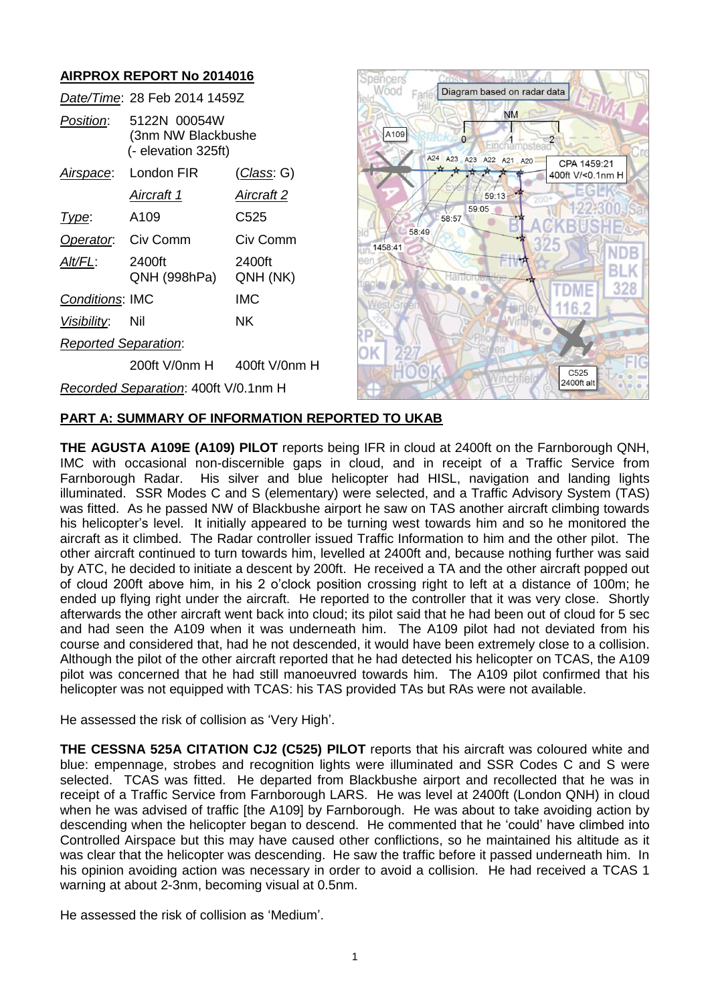## **AIRPROX REPORT No 2014016**

|                                      | Date/Time: 28 Feb 2014 1459Z                              |                    |  |
|--------------------------------------|-----------------------------------------------------------|--------------------|--|
| <i>Position</i> :                    | 5122N 00054W<br>(3nm NW Blackbushe<br>(- elevation 325ft) |                    |  |
| <u>Airspace:</u>                     | London FIR                                                | <u>(Class</u> : G) |  |
|                                      | Aircraft 1                                                | Aircraft 2         |  |
| Type:                                | A109                                                      | C525               |  |
|                                      | Operator. Civ Comm                                        | Civ Comm           |  |
| AIt/FL:                              | 2400ft<br>QNH (998hPa)                                    | 2400ft<br>QNH (NK) |  |
| <b>Conditions: IMC</b>               |                                                           | IMC                |  |
| <u>Visibility</u> :                  | Nil                                                       | NK.                |  |
| <b>Reported Separation:</b>          |                                                           |                    |  |
|                                      | 200ft V/0nm H                                             | $400$ ft V/0nm H   |  |
| Recorded Separation: 400ft V/0.1nm H |                                                           |                    |  |



## **PART A: SUMMARY OF INFORMATION REPORTED TO UKAB**

**THE AGUSTA A109E (A109) PILOT** reports being IFR in cloud at 2400ft on the Farnborough QNH, IMC with occasional non-discernible gaps in cloud, and in receipt of a Traffic Service from Farnborough Radar. His silver and blue helicopter had HISL, navigation and landing lights illuminated. SSR Modes C and S (elementary) were selected, and a Traffic Advisory System (TAS) was fitted. As he passed NW of Blackbushe airport he saw on TAS another aircraft climbing towards his helicopter's level. It initially appeared to be turning west towards him and so he monitored the aircraft as it climbed. The Radar controller issued Traffic Information to him and the other pilot. The other aircraft continued to turn towards him, levelled at 2400ft and, because nothing further was said by ATC, he decided to initiate a descent by 200ft. He received a TA and the other aircraft popped out of cloud 200ft above him, in his 2 o'clock position crossing right to left at a distance of 100m; he ended up flying right under the aircraft. He reported to the controller that it was very close. Shortly afterwards the other aircraft went back into cloud; its pilot said that he had been out of cloud for 5 sec and had seen the A109 when it was underneath him. The A109 pilot had not deviated from his course and considered that, had he not descended, it would have been extremely close to a collision. Although the pilot of the other aircraft reported that he had detected his helicopter on TCAS, the A109 pilot was concerned that he had still manoeuvred towards him. The A109 pilot confirmed that his helicopter was not equipped with TCAS: his TAS provided TAs but RAs were not available.

He assessed the risk of collision as 'Very High'.

**THE CESSNA 525A CITATION CJ2 (C525) PILOT** reports that his aircraft was coloured white and blue: empennage, strobes and recognition lights were illuminated and SSR Codes C and S were selected. TCAS was fitted. He departed from Blackbushe airport and recollected that he was in receipt of a Traffic Service from Farnborough LARS. He was level at 2400ft (London QNH) in cloud when he was advised of traffic [the A109] by Farnborough. He was about to take avoiding action by descending when the helicopter began to descend. He commented that he 'could' have climbed into Controlled Airspace but this may have caused other conflictions, so he maintained his altitude as it was clear that the helicopter was descending. He saw the traffic before it passed underneath him. In his opinion avoiding action was necessary in order to avoid a collision. He had received a TCAS 1 warning at about 2-3nm, becoming visual at 0.5nm.

He assessed the risk of collision as 'Medium'.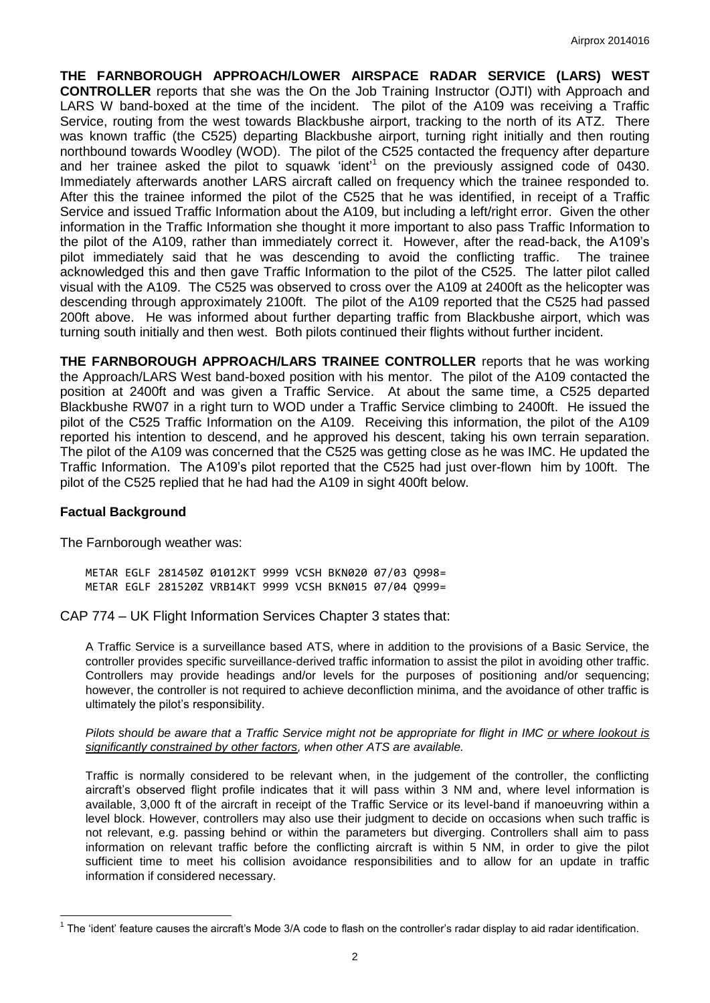**THE FARNBOROUGH APPROACH/LOWER AIRSPACE RADAR SERVICE (LARS) WEST CONTROLLER** reports that she was the On the Job Training Instructor (OJTI) with Approach and LARS W band-boxed at the time of the incident. The pilot of the A109 was receiving a Traffic Service, routing from the west towards Blackbushe airport, tracking to the north of its ATZ. There was known traffic (the C525) departing Blackbushe airport, turning right initially and then routing northbound towards Woodley (WOD). The pilot of the C525 contacted the frequency after departure and her trainee asked the pilot to squawk 'ident' 1 on the previously assigned code of 0430. Immediately afterwards another LARS aircraft called on frequency which the trainee responded to. After this the trainee informed the pilot of the C525 that he was identified, in receipt of a Traffic Service and issued Traffic Information about the A109, but including a left/right error. Given the other information in the Traffic Information she thought it more important to also pass Traffic Information to the pilot of the A109, rather than immediately correct it. However, after the read-back, the A109's pilot immediately said that he was descending to avoid the conflicting traffic. The trainee acknowledged this and then gave Traffic Information to the pilot of the C525. The latter pilot called visual with the A109. The C525 was observed to cross over the A109 at 2400ft as the helicopter was descending through approximately 2100ft. The pilot of the A109 reported that the C525 had passed 200ft above. He was informed about further departing traffic from Blackbushe airport, which was turning south initially and then west. Both pilots continued their flights without further incident.

**THE FARNBOROUGH APPROACH/LARS TRAINEE CONTROLLER** reports that he was working the Approach/LARS West band-boxed position with his mentor. The pilot of the A109 contacted the position at 2400ft and was given a Traffic Service. At about the same time, a C525 departed Blackbushe RW07 in a right turn to WOD under a Traffic Service climbing to 2400ft. He issued the pilot of the C525 Traffic Information on the A109. Receiving this information, the pilot of the A109 reported his intention to descend, and he approved his descent, taking his own terrain separation. The pilot of the A109 was concerned that the C525 was getting close as he was IMC. He updated the Traffic Information. The A109's pilot reported that the C525 had just over-flown him by 100ft. The pilot of the C525 replied that he had had the A109 in sight 400ft below.

#### **Factual Background**

 $\overline{a}$ 

The Farnborough weather was:

METAR EGLF 281450Z 01012KT 9999 VCSH BKN020 07/03 Q998= METAR EGLF 281520Z VRB14KT 9999 VCSH BKN015 07/04 Q999=

CAP 774 – UK Flight Information Services Chapter 3 states that:

A Traffic Service is a surveillance based ATS, where in addition to the provisions of a Basic Service, the controller provides specific surveillance-derived traffic information to assist the pilot in avoiding other traffic. Controllers may provide headings and/or levels for the purposes of positioning and/or sequencing; however, the controller is not required to achieve deconfliction minima, and the avoidance of other traffic is ultimately the pilot's responsibility.

*Pilots should be aware that a Traffic Service might not be appropriate for flight in IMC or where lookout is significantly constrained by other factors, when other ATS are available.*

Traffic is normally considered to be relevant when, in the judgement of the controller, the conflicting aircraft's observed flight profile indicates that it will pass within 3 NM and, where level information is available, 3,000 ft of the aircraft in receipt of the Traffic Service or its level-band if manoeuvring within a level block. However, controllers may also use their judgment to decide on occasions when such traffic is not relevant, e.g. passing behind or within the parameters but diverging. Controllers shall aim to pass information on relevant traffic before the conflicting aircraft is within 5 NM, in order to give the pilot sufficient time to meet his collision avoidance responsibilities and to allow for an update in traffic information if considered necessary.

 $1$  The 'ident' feature causes the aircraft's Mode 3/A code to flash on the controller's radar display to aid radar identification.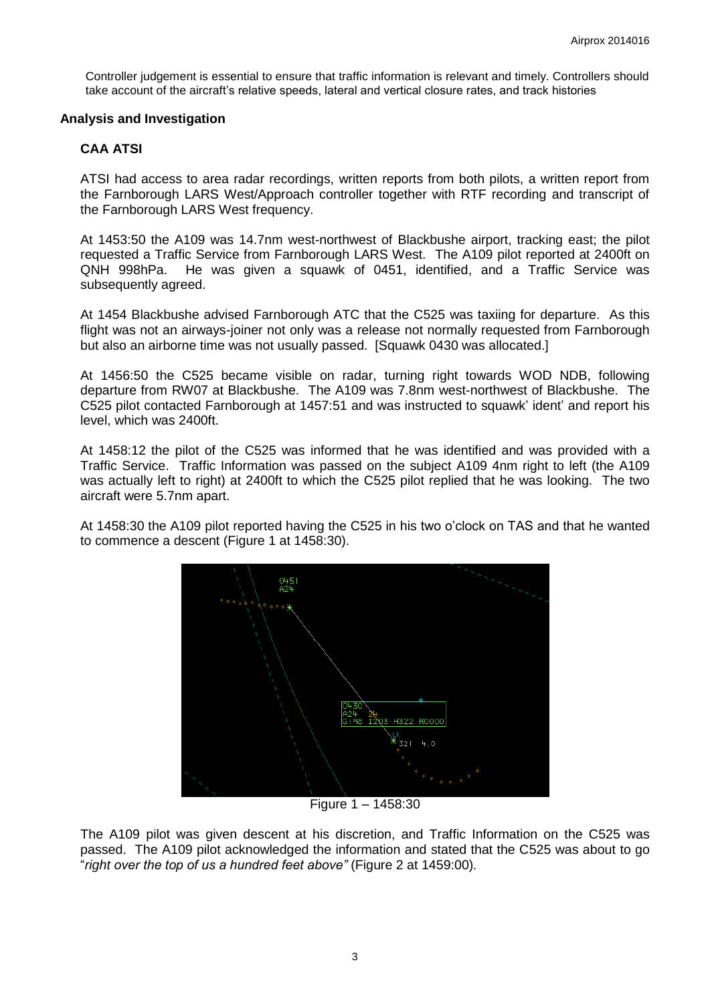Controller judgement is essential to ensure that traffic information is relevant and timely. Controllers should take account of the aircraft's relative speeds, lateral and vertical closure rates, and track histories

#### **Analysis and Investigation**

## **CAA ATSI**

ATSI had access to area radar recordings, written reports from both pilots, a written report from the Farnborough LARS West/Approach controller together with RTF recording and transcript of the Farnborough LARS West frequency.

At 1453:50 the A109 was 14.7nm west-northwest of Blackbushe airport, tracking east; the pilot requested a Traffic Service from Farnborough LARS West. The A109 pilot reported at 2400ft on QNH 998hPa. He was given a squawk of 0451, identified, and a Traffic Service was subsequently agreed.

At 1454 Blackbushe advised Farnborough ATC that the C525 was taxiing for departure. As this flight was not an airways-joiner not only was a release not normally requested from Farnborough but also an airborne time was not usually passed. [Squawk 0430 was allocated.]

At 1456:50 the C525 became visible on radar, turning right towards WOD NDB, following departure from RW07 at Blackbushe. The A109 was 7.8nm west-northwest of Blackbushe. The C525 pilot contacted Farnborough at 1457:51 and was instructed to squawk' ident' and report his level, which was 2400ft.

At 1458:12 the pilot of the C525 was informed that he was identified and was provided with a Traffic Service. Traffic Information was passed on the subject A109 4nm right to left (the A109 was actually left to right) at 2400ft to which the C525 pilot replied that he was looking. The two aircraft were 5.7nm apart.

At 1458:30 the A109 pilot reported having the C525 in his two o'clock on TAS and that he wanted to commence a descent (Figure 1 at 1458:30).



Figure 1 – 1458:30

The A109 pilot was given descent at his discretion, and Traffic Information on the C525 was passed. The A109 pilot acknowledged the information and stated that the C525 was about to go "*right over the top of us a hundred feet above"* (Figure 2 at 1459:00)*.*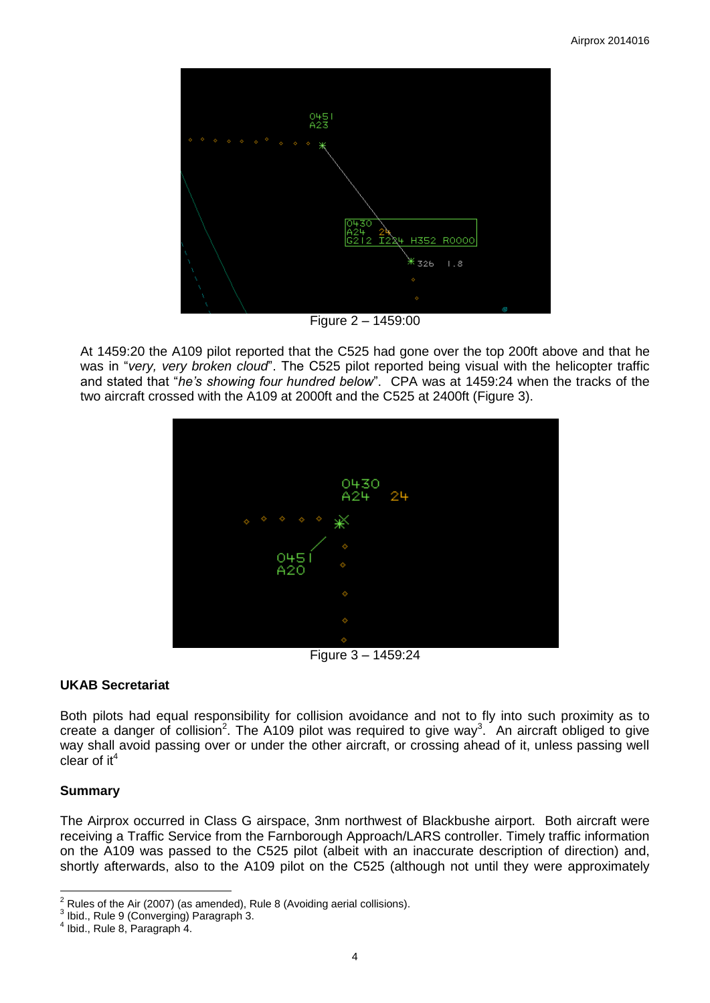

At 1459:20 the A109 pilot reported that the C525 had gone over the top 200ft above and that he was in "*very, very broken cloud*". The C525 pilot reported being visual with the helicopter traffic and stated that "*he's showing four hundred below*". CPA was at 1459:24 when the tracks of the two aircraft crossed with the A109 at 2000ft and the C525 at 2400ft (Figure 3).



Figure 3 – 1459:24

# **UKAB Secretariat**

Both pilots had equal responsibility for collision avoidance and not to fly into such proximity as to create a danger of collision<sup>2</sup>. The A109 pilot was required to give way<sup>3</sup>. An aircraft obliged to give way shall avoid passing over or under the other aircraft, or crossing ahead of it, unless passing well clear of  $it<sup>4</sup>$ 

# **Summary**

 $\overline{a}$ 

The Airprox occurred in Class G airspace, 3nm northwest of Blackbushe airport. Both aircraft were receiving a Traffic Service from the Farnborough Approach/LARS controller. Timely traffic information on the A109 was passed to the C525 pilot (albeit with an inaccurate description of direction) and, shortly afterwards, also to the A109 pilot on the C525 (although not until they were approximately

 $2$  Rules of the Air (2007) (as amended), Rule 8 (Avoiding aerial collisions).

<sup>3</sup> Ibid., Rule 9 (Converging) Paragraph 3.

<sup>4</sup> Ibid., Rule 8, Paragraph 4.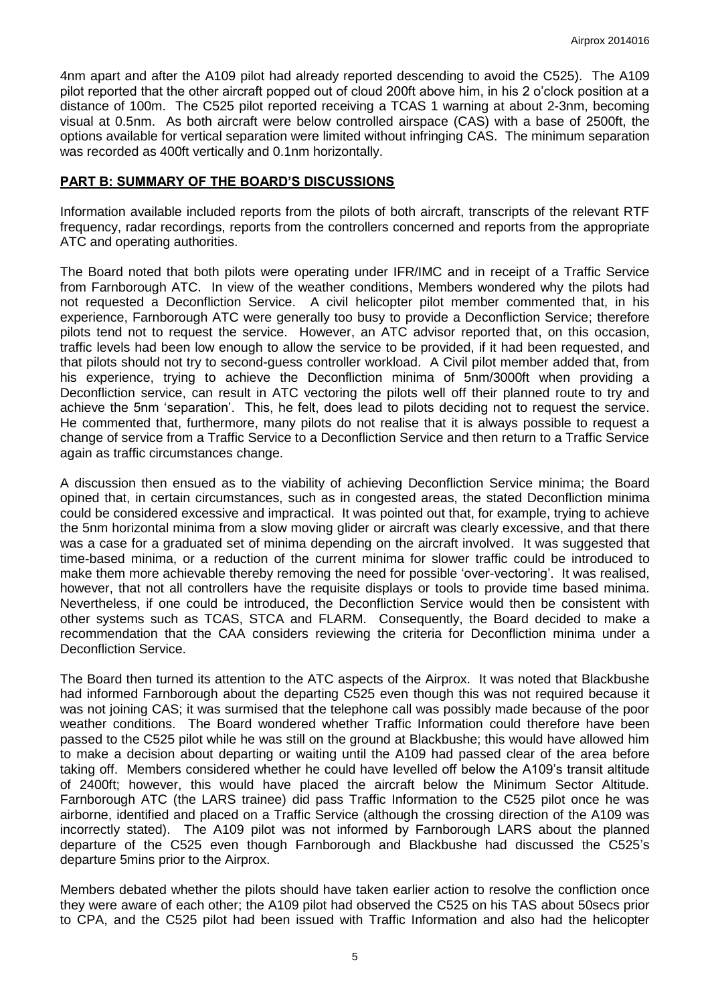4nm apart and after the A109 pilot had already reported descending to avoid the C525). The A109 pilot reported that the other aircraft popped out of cloud 200ft above him, in his 2 o'clock position at a distance of 100m. The C525 pilot reported receiving a TCAS 1 warning at about 2-3nm, becoming visual at 0.5nm. As both aircraft were below controlled airspace (CAS) with a base of 2500ft, the options available for vertical separation were limited without infringing CAS. The minimum separation was recorded as 400ft vertically and 0.1nm horizontally.

### **PART B: SUMMARY OF THE BOARD'S DISCUSSIONS**

Information available included reports from the pilots of both aircraft, transcripts of the relevant RTF frequency, radar recordings, reports from the controllers concerned and reports from the appropriate ATC and operating authorities.

The Board noted that both pilots were operating under IFR/IMC and in receipt of a Traffic Service from Farnborough ATC. In view of the weather conditions, Members wondered why the pilots had not requested a Deconfliction Service. A civil helicopter pilot member commented that, in his experience, Farnborough ATC were generally too busy to provide a Deconfliction Service; therefore pilots tend not to request the service. However, an ATC advisor reported that, on this occasion, traffic levels had been low enough to allow the service to be provided, if it had been requested, and that pilots should not try to second-guess controller workload. A Civil pilot member added that, from his experience, trying to achieve the Deconfliction minima of 5nm/3000ft when providing a Deconfliction service, can result in ATC vectoring the pilots well off their planned route to try and achieve the 5nm 'separation'. This, he felt, does lead to pilots deciding not to request the service. He commented that, furthermore, many pilots do not realise that it is always possible to request a change of service from a Traffic Service to a Deconfliction Service and then return to a Traffic Service again as traffic circumstances change.

A discussion then ensued as to the viability of achieving Deconfliction Service minima; the Board opined that, in certain circumstances, such as in congested areas, the stated Deconfliction minima could be considered excessive and impractical. It was pointed out that, for example, trying to achieve the 5nm horizontal minima from a slow moving glider or aircraft was clearly excessive, and that there was a case for a graduated set of minima depending on the aircraft involved. It was suggested that time-based minima, or a reduction of the current minima for slower traffic could be introduced to make them more achievable thereby removing the need for possible 'over-vectoring'. It was realised, however, that not all controllers have the requisite displays or tools to provide time based minima. Nevertheless, if one could be introduced, the Deconfliction Service would then be consistent with other systems such as TCAS, STCA and FLARM. Consequently, the Board decided to make a recommendation that the CAA considers reviewing the criteria for Deconfliction minima under a Deconfliction Service.

The Board then turned its attention to the ATC aspects of the Airprox. It was noted that Blackbushe had informed Farnborough about the departing C525 even though this was not required because it was not joining CAS; it was surmised that the telephone call was possibly made because of the poor weather conditions. The Board wondered whether Traffic Information could therefore have been passed to the C525 pilot while he was still on the ground at Blackbushe; this would have allowed him to make a decision about departing or waiting until the A109 had passed clear of the area before taking off. Members considered whether he could have levelled off below the A109's transit altitude of 2400ft; however, this would have placed the aircraft below the Minimum Sector Altitude. Farnborough ATC (the LARS trainee) did pass Traffic Information to the C525 pilot once he was airborne, identified and placed on a Traffic Service (although the crossing direction of the A109 was incorrectly stated). The A109 pilot was not informed by Farnborough LARS about the planned departure of the C525 even though Farnborough and Blackbushe had discussed the C525's departure 5mins prior to the Airprox.

Members debated whether the pilots should have taken earlier action to resolve the confliction once they were aware of each other; the A109 pilot had observed the C525 on his TAS about 50secs prior to CPA, and the C525 pilot had been issued with Traffic Information and also had the helicopter